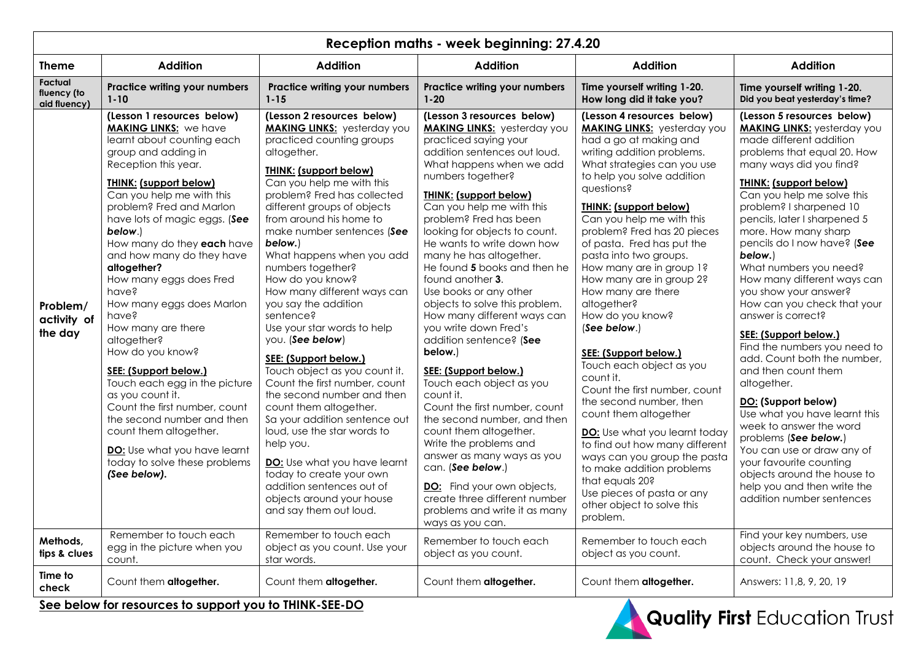| Reception maths - week beginning: 27.4.20 |                                                                                                                                                                                                                                                                                                                                                                                                                                                                                                                                                                                                                                                                                                                                                    |                                                                                                                                                                                                                                                                                                                                                                                                                                                                                                                                                                                                                                                                                                                                                                                                                                                                                           |                                                                                                                                                                                                                                                                                                                                                                                                                                                                                                                                                                                                                                                                                                                                                                                                                                                                                                                                         |                                                                                                                                                                                                                                                                                                                                                                                                                                                                                                                                                                                                                                                                                                                                                                                                                                                                             |                                                                                                                                                                                                                                                                                                                                                                                                                                                                                                                                                                                                                                                                                                                                                                                                                                                                                        |  |
|-------------------------------------------|----------------------------------------------------------------------------------------------------------------------------------------------------------------------------------------------------------------------------------------------------------------------------------------------------------------------------------------------------------------------------------------------------------------------------------------------------------------------------------------------------------------------------------------------------------------------------------------------------------------------------------------------------------------------------------------------------------------------------------------------------|-------------------------------------------------------------------------------------------------------------------------------------------------------------------------------------------------------------------------------------------------------------------------------------------------------------------------------------------------------------------------------------------------------------------------------------------------------------------------------------------------------------------------------------------------------------------------------------------------------------------------------------------------------------------------------------------------------------------------------------------------------------------------------------------------------------------------------------------------------------------------------------------|-----------------------------------------------------------------------------------------------------------------------------------------------------------------------------------------------------------------------------------------------------------------------------------------------------------------------------------------------------------------------------------------------------------------------------------------------------------------------------------------------------------------------------------------------------------------------------------------------------------------------------------------------------------------------------------------------------------------------------------------------------------------------------------------------------------------------------------------------------------------------------------------------------------------------------------------|-----------------------------------------------------------------------------------------------------------------------------------------------------------------------------------------------------------------------------------------------------------------------------------------------------------------------------------------------------------------------------------------------------------------------------------------------------------------------------------------------------------------------------------------------------------------------------------------------------------------------------------------------------------------------------------------------------------------------------------------------------------------------------------------------------------------------------------------------------------------------------|----------------------------------------------------------------------------------------------------------------------------------------------------------------------------------------------------------------------------------------------------------------------------------------------------------------------------------------------------------------------------------------------------------------------------------------------------------------------------------------------------------------------------------------------------------------------------------------------------------------------------------------------------------------------------------------------------------------------------------------------------------------------------------------------------------------------------------------------------------------------------------------|--|
| <b>Theme</b>                              | <b>Addition</b>                                                                                                                                                                                                                                                                                                                                                                                                                                                                                                                                                                                                                                                                                                                                    | <b>Addition</b>                                                                                                                                                                                                                                                                                                                                                                                                                                                                                                                                                                                                                                                                                                                                                                                                                                                                           | <b>Addition</b>                                                                                                                                                                                                                                                                                                                                                                                                                                                                                                                                                                                                                                                                                                                                                                                                                                                                                                                         | <b>Addition</b>                                                                                                                                                                                                                                                                                                                                                                                                                                                                                                                                                                                                                                                                                                                                                                                                                                                             | <b>Addition</b>                                                                                                                                                                                                                                                                                                                                                                                                                                                                                                                                                                                                                                                                                                                                                                                                                                                                        |  |
| Factual<br>fluency (to<br>aid fluency)    | <b>Practice writing your numbers</b><br>$1 - 10$                                                                                                                                                                                                                                                                                                                                                                                                                                                                                                                                                                                                                                                                                                   | Practice writing your numbers<br>$1 - 15$                                                                                                                                                                                                                                                                                                                                                                                                                                                                                                                                                                                                                                                                                                                                                                                                                                                 | Practice writing your numbers<br>$1 - 20$                                                                                                                                                                                                                                                                                                                                                                                                                                                                                                                                                                                                                                                                                                                                                                                                                                                                                               | Time yourself writing 1-20.<br>How long did it take you?                                                                                                                                                                                                                                                                                                                                                                                                                                                                                                                                                                                                                                                                                                                                                                                                                    | Time yourself writing 1-20.<br>Did you beat yesterday's time?                                                                                                                                                                                                                                                                                                                                                                                                                                                                                                                                                                                                                                                                                                                                                                                                                          |  |
| Problem/<br>activity of<br>the day        | (Lesson 1 resources below)<br><b>MAKING LINKS:</b> we have<br>learnt about counting each<br>group and adding in<br>Reception this year.<br><b>THINK: (support below)</b><br>Can you help me with this<br>problem? Fred and Marlon<br>have lots of magic eggs. (See<br>below.)<br>How many do they each have<br>and how many do they have<br>altogether?<br>How many eggs does Fred<br>have?<br>How many eggs does Marlon<br>have?<br>How many are there<br>altogether?<br>How do you know?<br>SEE: (Support below.)<br>Touch each egg in the picture<br>as you count it.<br>Count the first number, count<br>the second number and then<br>count them altogether.<br>DO: Use what you have learnt<br>today to solve these problems<br>(See below). | (Lesson 2 resources below)<br><b>MAKING LINKS:</b> yesterday you<br>practiced counting groups<br>altogether.<br><b>THINK: (support below)</b><br>Can you help me with this<br>problem? Fred has collected<br>different groups of objects<br>from around his home to<br>make number sentences (See<br>below.)<br>What happens when you add<br>numbers together?<br>How do you know?<br>How many different ways can<br>you say the addition<br>sentence?<br>Use your star words to help<br>you. (See below)<br>SEE: (Support below.)<br>Touch object as you count it.<br>Count the first number, count<br>the second number and then<br>count them altogether.<br>Sa your addition sentence out<br>loud, use the star words to<br>help you.<br>DO: Use what you have learnt<br>today to create your own<br>addition sentences out of<br>objects around your house<br>and say them out loud. | (Lesson 3 resources below)<br><b>MAKING LINKS:</b> yesterday you<br>practiced saying your<br>addition sentences out loud.<br>What happens when we add<br>numbers together?<br><b>THINK: (support below)</b><br>Can you help me with this<br>problem? Fred has been<br>looking for objects to count.<br>He wants to write down how<br>many he has altogether.<br>He found 5 books and then he<br>found another 3.<br>Use books or any other<br>objects to solve this problem.<br>How many different ways can<br>you write down Fred's<br>addition sentence? (See<br>below.)<br>SEE: (Support below.)<br>Touch each object as you<br>count it.<br>Count the first number, count<br>the second number, and then<br>count them altogether.<br>Write the problems and<br>answer as many ways as you<br>can. (See below.)<br>DO: Find your own objects,<br>create three different number<br>problems and write it as many<br>ways as you can. | (Lesson 4 resources below)<br><b>MAKING LINKS:</b> yesterday you<br>had a go at making and<br>writing addition problems.<br>What strategies can you use<br>to help you solve addition<br>questions?<br><b>THINK: (support below)</b><br>Can you help me with this<br>problem? Fred has 20 pieces<br>of pasta. Fred has put the<br>pasta into two groups.<br>How many are in group 1?<br>How many are in group 2?<br>How many are there<br>altogether?<br>How do you know?<br>(See below.)<br>SEE: (Support below.)<br>Touch each object as you<br>count it.<br>Count the first number, count<br>the second number, then<br>count them altogether<br>DO: Use what you learnt today<br>to find out how many different<br>ways can you group the pasta<br>to make addition problems<br>that equals 20?<br>Use pieces of pasta or any<br>other object to solve this<br>problem. | (Lesson 5 resources below)<br><b>MAKING LINKS:</b> yesterday you<br>made different addition<br>problems that equal 20. How<br>many ways did you find?<br><b>THINK: (support below)</b><br>Can you help me solve this<br>problem? I sharpened 10<br>pencils, later I sharpened 5<br>more. How many sharp<br>pencils do I now have? (See<br>below.)<br>What numbers you need?<br>How many different ways can<br>you show your answer?<br>How can you check that your<br>answer is correct?<br>SEE: (Support below.)<br>Find the numbers you need to<br>add. Count both the number,<br>and then count them<br>altogether.<br>DO: (Support below)<br>Use what you have learnt this<br>week to answer the word<br>problems (See below.)<br>You can use or draw any of<br>your favourite counting<br>objects around the house to<br>help you and then write the<br>addition number sentences |  |
| Methods.<br>tips & clues                  | Remember to touch each<br>egg in the picture when you<br>count.                                                                                                                                                                                                                                                                                                                                                                                                                                                                                                                                                                                                                                                                                    | Remember to touch each<br>object as you count. Use your<br>star words.                                                                                                                                                                                                                                                                                                                                                                                                                                                                                                                                                                                                                                                                                                                                                                                                                    | Remember to touch each<br>object as you count.                                                                                                                                                                                                                                                                                                                                                                                                                                                                                                                                                                                                                                                                                                                                                                                                                                                                                          | Remember to touch each<br>object as you count.                                                                                                                                                                                                                                                                                                                                                                                                                                                                                                                                                                                                                                                                                                                                                                                                                              | Find your key numbers, use<br>objects around the house to<br>count. Check your answer!                                                                                                                                                                                                                                                                                                                                                                                                                                                                                                                                                                                                                                                                                                                                                                                                 |  |
| Time to<br>check                          | Count them altogether.                                                                                                                                                                                                                                                                                                                                                                                                                                                                                                                                                                                                                                                                                                                             | Count them altogether.<br>$\overline{1}$ with $\overline{1}$ and $\overline{2}$                                                                                                                                                                                                                                                                                                                                                                                                                                                                                                                                                                                                                                                                                                                                                                                                           | Count them altogether.                                                                                                                                                                                                                                                                                                                                                                                                                                                                                                                                                                                                                                                                                                                                                                                                                                                                                                                  | Count them altogether.                                                                                                                                                                                                                                                                                                                                                                                                                                                                                                                                                                                                                                                                                                                                                                                                                                                      | Answers: 11,8, 9, 20, 19                                                                                                                                                                                                                                                                                                                                                                                                                                                                                                                                                                                                                                                                                                                                                                                                                                                               |  |

**See below for resources to support you to THINK-SEE-DO**

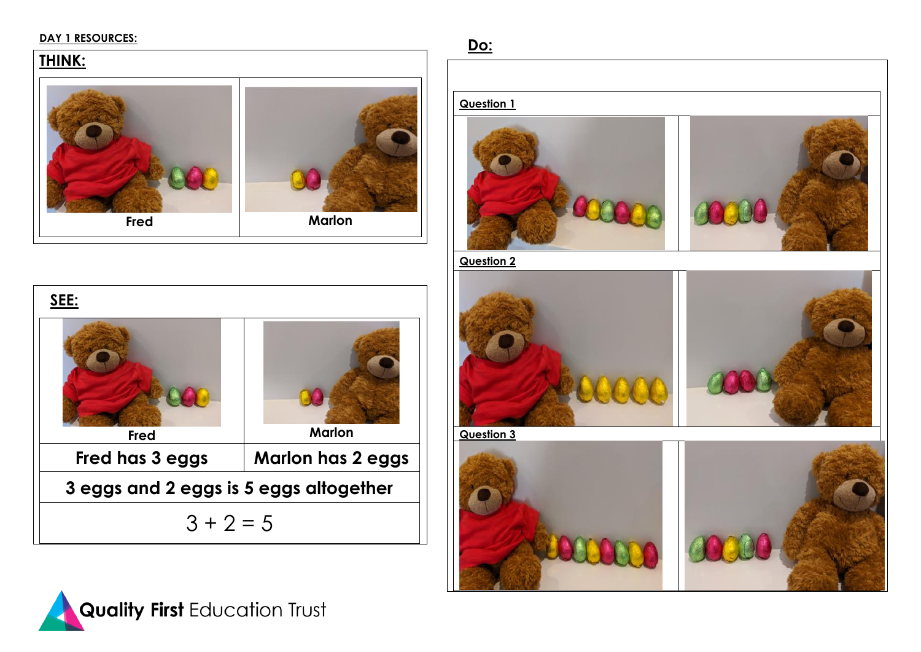#### **DAY 1 RESOURCES:**

## **THINK:**



| SEE:                                   |                          |  |  |  |
|----------------------------------------|--------------------------|--|--|--|
| Fred                                   | <b>Marlon</b>            |  |  |  |
| Fred has 3 eggs                        | <b>Marlon has 2 eggs</b> |  |  |  |
| 3 eggs and 2 eggs is 5 eggs altogether |                          |  |  |  |
| $3 + 2 = 5$                            |                          |  |  |  |



**Do:** 

#### **Question 1**





**Question 2**





**Question 3**

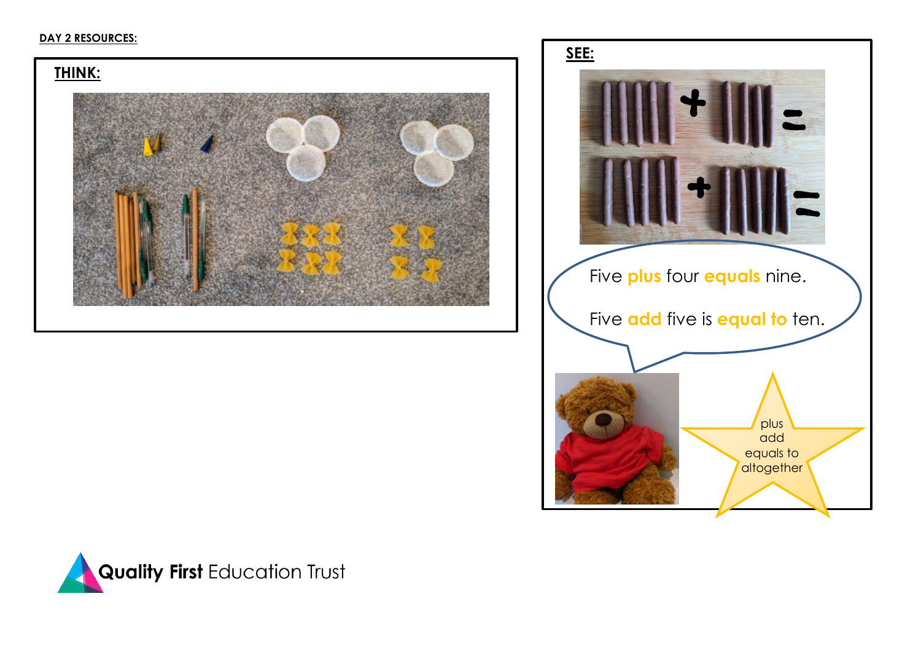#### **DAY 2 RESOURCES:**





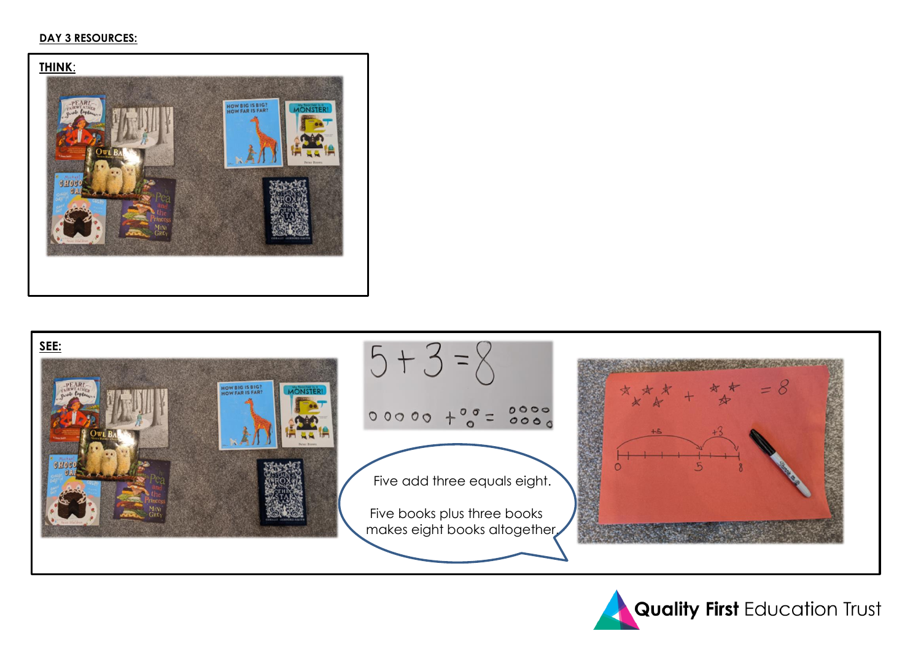#### **DAY 3 RESOURCES:**





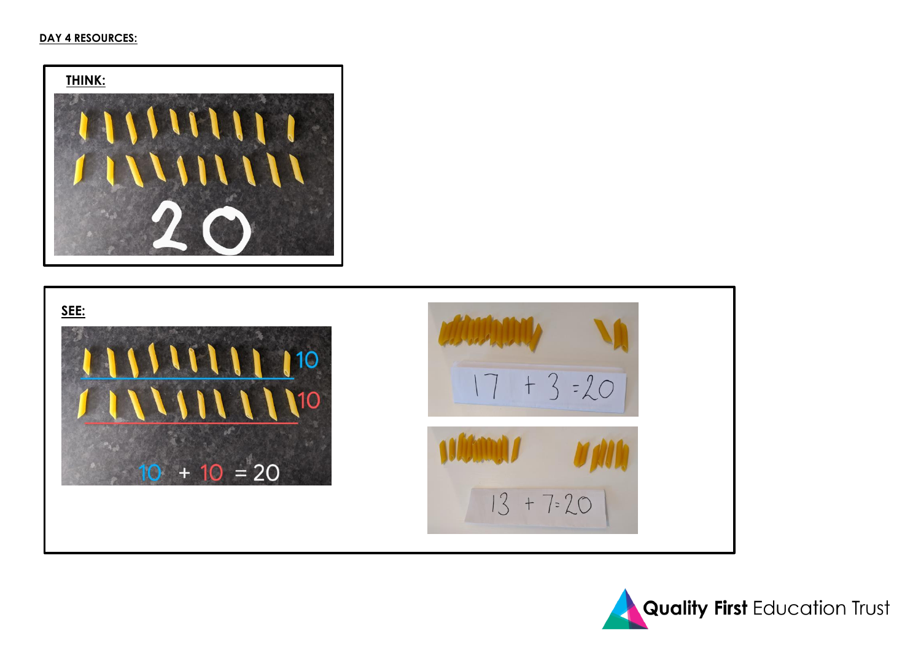#### **DAY 4 RESOURCES:**